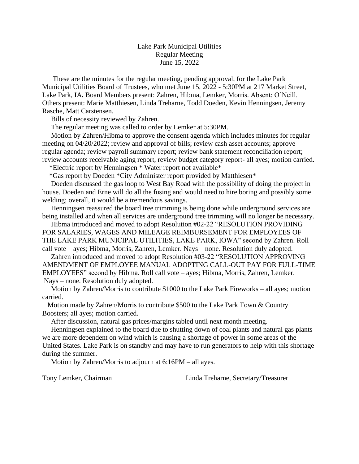## Lake Park Municipal Utilities Regular Meeting June 15, 2022

 These are the minutes for the regular meeting, pending approval, for the Lake Park Municipal Utilities Board of Trustees, who met June 15, 2022 - 5:30PM at 217 Market Street, Lake Park, IA**.** Board Members present: Zahren, Hibma, Lemker, Morris. Absent; O'Neill. Others present: Marie Matthiesen, Linda Treharne, Todd Doeden, Kevin Henningsen, Jeremy Rasche, Matt Carstensen.

Bills of necessity reviewed by Zahren.

The regular meeting was called to order by Lemker at 5:30PM.

 Motion by Zahren/Hibma to approve the consent agenda which includes minutes for regular meeting on 04/20/2022; review and approval of bills; review cash asset accounts; approve regular agenda; review payroll summary report; review bank statement reconciliation report; review accounts receivable aging report, review budget category report- all ayes; motion carried.

\*Electric report by Henningsen \* Water report not available\*

\*Gas report by Doeden \*City Administer report provided by Matthiesen\*

 Doeden discussed the gas loop to West Bay Road with the possibility of doing the project in house. Doeden and Erne will do all the fusing and would need to hire boring and possibly some welding; overall, it would be a tremendous savings.

 Henningsen reassured the board tree trimming is being done while underground services are being installed and when all services are underground tree trimming will no longer be necessary.

 Hibma introduced and moved to adopt Resolution #02-22 "RESOLUTION PROVIDING FOR SALARIES, WAGES AND MILEAGE REIMBURSEMENT FOR EMPLOYEES OF THE LAKE PARK MUNICIPAL UTILITIES, LAKE PARK, IOWA" second by Zahren. Roll call vote – ayes; Hibma, Morris, Zahren, Lemker. Nays – none. Resolution duly adopted.

 Zahren introduced and moved to adopt Resolution #03-22 "RESOLUTION APPROVING AMENDMENT OF EMPLOYEE MANUAL ADOPTING CALL-OUT PAY FOR FULL-TIME EMPLOYEES" second by Hibma. Roll call vote – ayes; Hibma, Morris, Zahren, Lemker. Nays – none. Resolution duly adopted.

 Motion by Zahren/Morris to contribute \$1000 to the Lake Park Fireworks – all ayes; motion carried.

 Motion made by Zahren/Morris to contribute \$500 to the Lake Park Town & Country Boosters; all ayes; motion carried.

After discussion, natural gas prices/margins tabled until next month meeting.

 Henningsen explained to the board due to shutting down of coal plants and natural gas plants we are more dependent on wind which is causing a shortage of power in some areas of the United States. Lake Park is on standby and may have to run generators to help with this shortage during the summer.

Motion by Zahren/Morris to adjourn at 6:16PM – all ayes.

Tony Lemker, Chairman Linda Treharne, Secretary/Treasurer